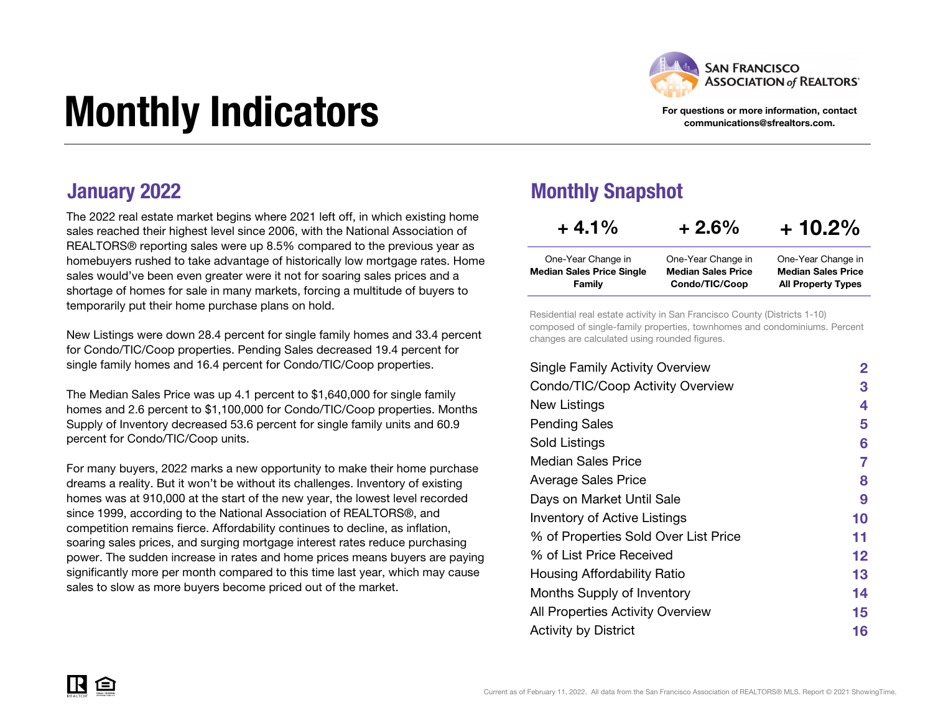

#### For questions or more information, contact communications@sfrealtors.com.

All Property Types

# Monthly Indicators

The 2022 real estate market begins where 2021 left off, in which existing home sales reached their highest level since 2006, with the National Association of REALTORS® reporting sales were up 8.5% compared to the previous year as homebuyers rushed to take advantage of historically low mortgage rates. Home sales would've been even greater were it not for soaring sales prices and a shortage of homes for sale in many markets, forcing a multitude of buyers to temporarily put their home purchase plans on hold.

New Listings were down 28.4 percent for single family homes and 33.4 percent for Condo/TIC/Coop properties. Pending Sales decreased 19.4 percent for single family homes and 16.4 percent for Condo/TIC/Coop properties.

The Median Sales Price was up 4.1 percent to \$1,640,000 for single family homes and 2.6 percent to \$1,100,000 for Condo/TIC/Coop properties. Months Supply of Inventory decreased 53.6 percent for single family units and 60.9 percent for Condo/TIC/Coop units.

For many buyers, 2022 marks a new opportunity to make their home purchase dreams a reality. But it won't be without its challenges. Inventory of existing homes was at 910,000 at the start of the new year, the lowest level recorded since 1999, according to the National Association of REALTORS®, and competition remains fierce. Affordability continues to decline, as inflation, soaring sales prices, and surging mortgage interest rates reduce purchasing power. The sudden increase in rates and home prices means buyers are paying significantly more per month compared to this time last year, which may cause sales to slow as more buyers become priced out of the market.

#### **January 2022** Monthly Snapshot

Family

| $+4.1\%$                         | $+2.6%$                   | $+10.2%$                  |
|----------------------------------|---------------------------|---------------------------|
| One-Year Change in               | One-Year Change in        | One-Year Change in        |
| <b>Median Sales Price Single</b> | <b>Median Sales Price</b> | <b>Median Sales Price</b> |

Condo/TIC/Coop

Residential real estate activity in San Francisco County (Districts 1-10) composed of single-family properties, townhomes and condominiums. Percent changes are calculated using rounded figures.

| <b>Single Family Activity Overview</b> | $\mathbf{2}$ |
|----------------------------------------|--------------|
| Condo/TIC/Coop Activity Overview       | 3            |
| New Listings                           | 4            |
| <b>Pending Sales</b>                   | 5            |
| Sold Listings                          | 6            |
| Median Sales Price                     | 7            |
| <b>Average Sales Price</b>             | 8            |
| Days on Market Until Sale              | 9            |
| Inventory of Active Listings           | 10           |
| % of Properties Sold Over List Price   | 11           |
| % of List Price Received               | 12           |
| Housing Affordability Ratio            | 13           |
| Months Supply of Inventory             | 14           |
| All Properties Activity Overview       | 15           |
| <b>Activity by District</b>            | 16           |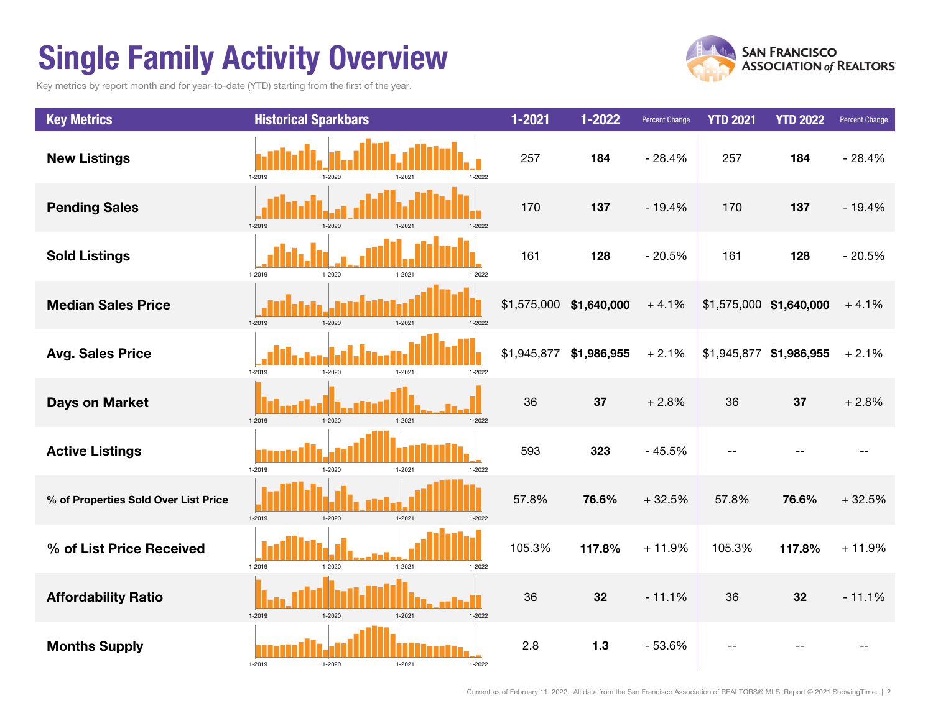## Single Family Activity Overview

Key metrics by report month and for year-to-date (YTD) starting from the first of the year.





Current as of February 11, 2022. All data from the San Francisco Association of REALTORS® MLS. Report © 2021 ShowingTime. | 2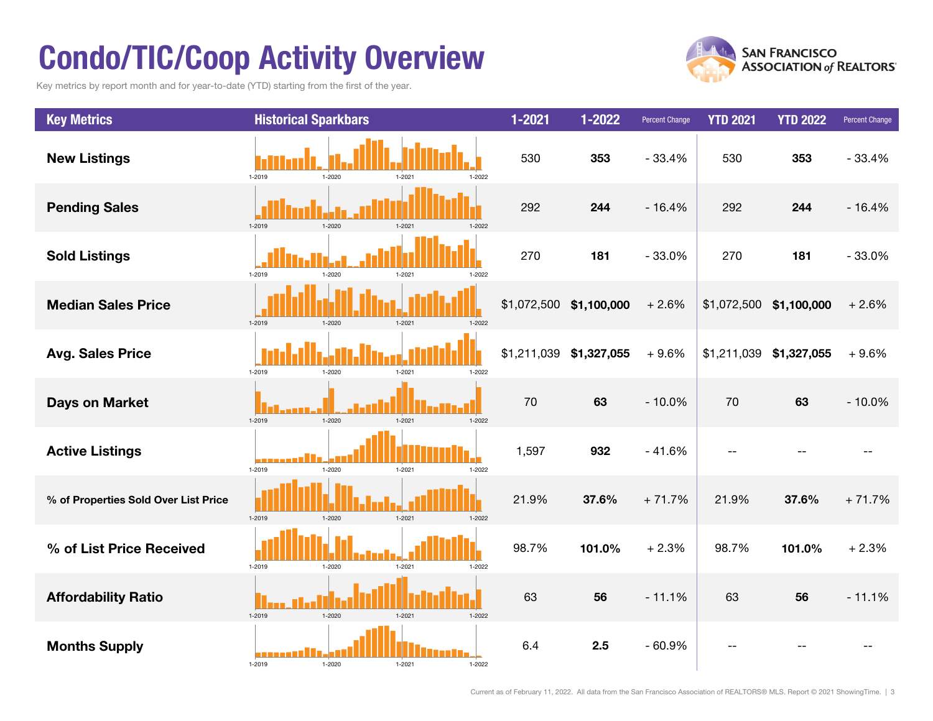## Condo/TIC/Coop Activity Overview

Key metrics by report month and for year-to-date (YTD) starting from the first of the year.



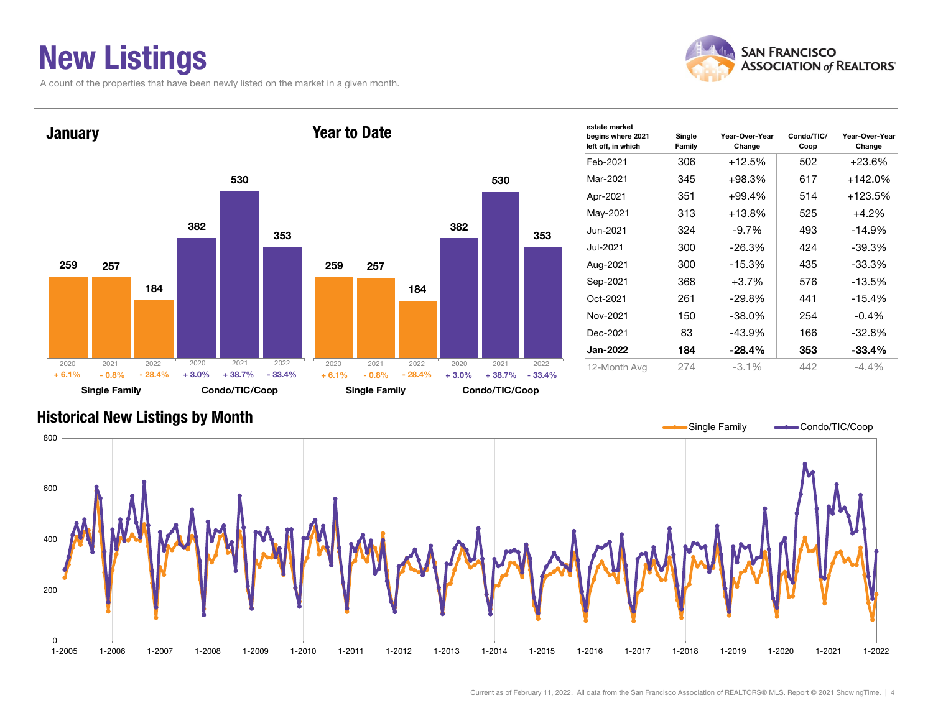### New Listings

A count of the properties that have been newly listed on the market in a given month.



Year-Over-Year Change





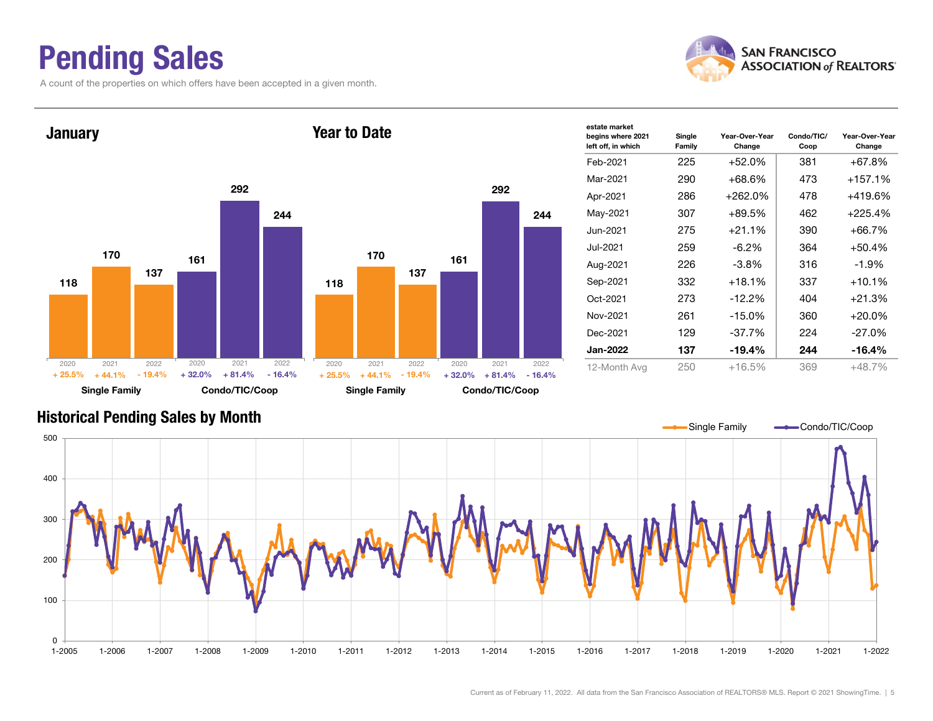### Pending Sales

A count of the properties on which offers have been accepted in a given month.





#### Historical Pending Sales by Month



Current as of February 11, 2022. All data from the San Francisco Association of REALTORS® MLS. Report © 2021 ShowingTime. | 5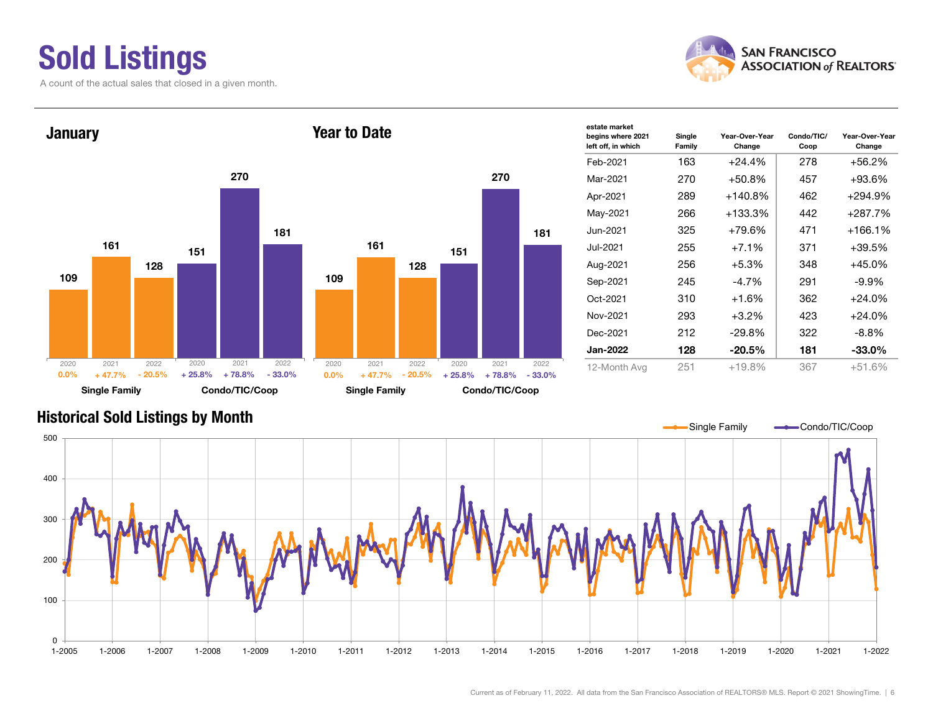### Sold Listings

A count of the actual sales that closed in a given month.





| estate market<br>begins where 2021<br>left off, in which | Single<br>Family | Year-Over-Year<br>Change | Condo/TIC/<br>Coop | Year-Over-Year<br>Change |  |  |
|----------------------------------------------------------|------------------|--------------------------|--------------------|--------------------------|--|--|
| Feb-2021                                                 | 163              | $+24.4%$                 | 278                | +56.2%                   |  |  |
| Mar-2021                                                 | 270              | $+50.8%$                 | 457                | $+93.6%$                 |  |  |
| Apr-2021                                                 | 289              | $+140.8%$                | 462                | +294.9%                  |  |  |
| May-2021                                                 | 266              | +133.3%                  | 442                | +287.7%                  |  |  |
| Jun-2021.                                                | 325              | +79.6%                   | 471                | +166.1%                  |  |  |
| Jul-2021                                                 | 255              | $+7.1%$                  | 371                | $+39.5%$                 |  |  |
| Aug-2021                                                 | 256              | $+5.3%$                  | 348                | $+45.0%$                 |  |  |
| Sep-2021                                                 | 245              | $-4.7%$                  | 291                | -9.9%                    |  |  |
| Oct-2021                                                 | 310              | $+1.6%$                  | 362                | $+24.0%$                 |  |  |
| Nov-2021                                                 | 293              | $+3.2%$                  | 423                | $+24.0\%$                |  |  |
| Dec-2021                                                 | 212              | $-29.8%$                 | 322                | $-8.8\%$                 |  |  |
| <b>Jan-2022</b>                                          | 128              | $-20.5%$                 | 181                | $-33.0\%$                |  |  |
| 12-Month Avg                                             | 251              | $+19.8%$                 | 367                | $+51.6%$                 |  |  |
|                                                          |                  |                          |                    |                          |  |  |

#### Historical Sold Listings by Month

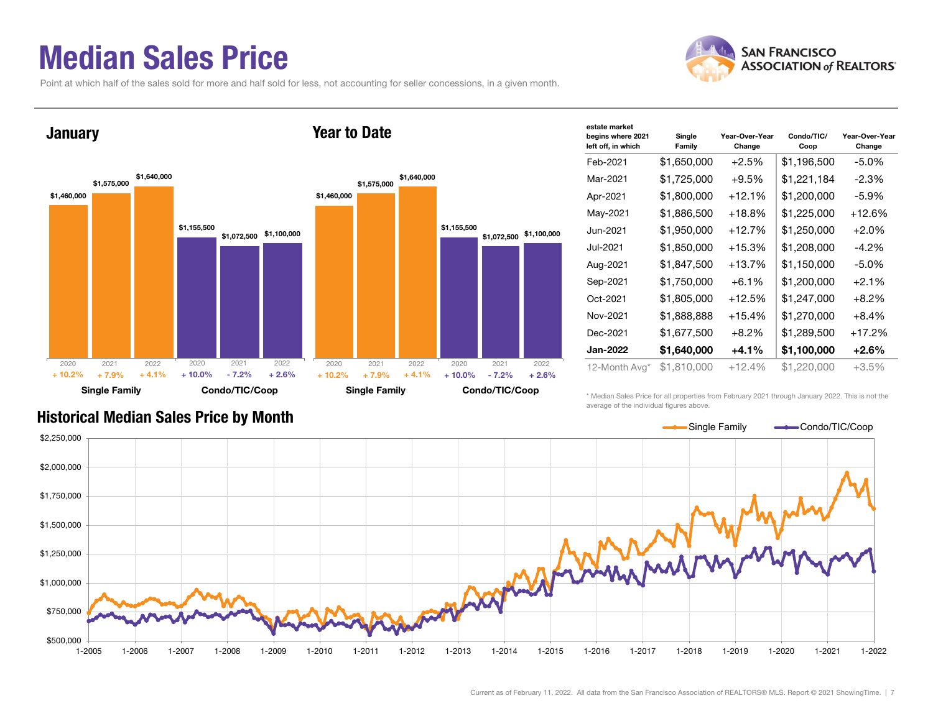#### Median Sales Price

Point at which half of the sales sold for more and half sold for less, not accounting for seller concessions, in a given month.



| estate market<br>begins where 2021<br>left off, in which | Single<br>Family | Year-Over-Year<br>Change | Condo/TIC/<br>Coop | Year-Over-Year<br>Change |
|----------------------------------------------------------|------------------|--------------------------|--------------------|--------------------------|
| Feb-2021                                                 | \$1,650,000      | +2.5%                    | \$1,196,500        | $-5.0\%$                 |
| Mar-2021                                                 | \$1,725,000      | $+9.5%$                  | \$1,221,184        | $-2.3%$                  |
| Apr-2021                                                 | \$1,800,000      | $+12.1%$                 | \$1,200,000        | $-5.9\%$                 |
| May-2021                                                 | \$1,886,500      | $+18.8%$                 | \$1,225,000        | $+12.6%$                 |
| Jun-2021                                                 | \$1,950,000      | $+12.7%$                 | \$1,250,000        | +2.0%                    |
| Jul-2021                                                 | \$1,850,000      | $+15.3%$                 | \$1,208,000        | $-4.2\%$                 |
| Aug-2021                                                 | \$1,847,500      | $+13.7\%$                | \$1,150,000        | $-5.0\%$                 |
| Sep-2021                                                 | \$1,750,000      | $+6.1%$                  | \$1,200,000        | $+2.1%$                  |
| Oct-2021                                                 | \$1,805,000      | $+12.5%$                 | \$1,247,000        | $+8.2\%$                 |
| Nov-2021                                                 | \$1,888,888      | $+15.4%$                 | \$1,270,000        | $+8.4%$                  |
| Dec-2021                                                 | \$1,677,500      | $+8.2%$                  | \$1,289,500        | $+17.2%$                 |
| <b>Jan-2022</b>                                          | \$1,640,000      | $+4.1%$                  | \$1,100,000        | +2.6%                    |
| 12-Month Avg*                                            | \$1,810,000      | $+12.4%$                 | \$1,220,000        | +3.5%                    |

#### Historical Median Sales Price by Month

\* Median Sales Price for all properties from February 2021 through January 2022. This is not the average of the individual figures above.



| estate market<br>begins where 2021<br>left off, in which | Single<br>Family | Year-Over-Year<br>Change | Condo/TIC/<br>Coop | Year-Over-Year<br>Change |
|----------------------------------------------------------|------------------|--------------------------|--------------------|--------------------------|
| Feb-2021                                                 | \$1,650,000      | $+2.5%$                  | \$1,196,500        | $-5.0%$                  |
| Mar-2021                                                 | \$1,725,000      | $+9.5%$                  | \$1,221,184        | $-2.3%$                  |
| Apr-2021                                                 | \$1,800,000      | $+12.1%$                 | \$1,200,000        | -5.9%                    |
| May-2021                                                 | \$1,886,500      | $+18.8%$                 | \$1,225,000        | +12.6%                   |
| Jun-2021                                                 | \$1,950,000      | $+12.7%$                 | \$1,250,000        | $+2.0%$                  |
| Jul-2021                                                 | \$1,850,000      | $+15.3%$                 | \$1,208,000        | $-4.2\%$                 |
| Aug-2021                                                 | \$1,847,500      | +13.7%                   | \$1,150,000        | $-5.0\%$                 |
| Sep-2021                                                 | \$1,750,000      | $+6.1%$                  | \$1,200,000        | $+2.1%$                  |
| Oct-2021                                                 | \$1,805,000      | $+12.5%$                 | \$1,247,000        | $+8.2%$                  |
| Nov-2021                                                 | \$1,888,888      | $+15.4%$                 | \$1,270,000        | $+8.4%$                  |
| Dec-2021                                                 | \$1,677,500      | $+8.2\%$                 | \$1,289,500        | $+17.2\%$                |

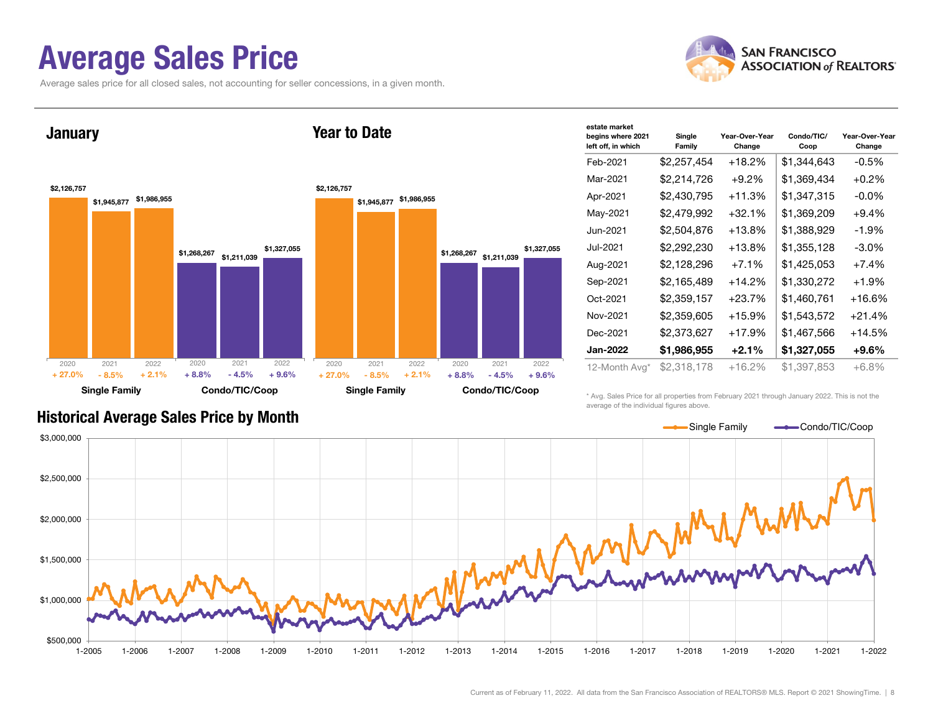#### Average Sales Price

**January** 

Average sales price for all closed sales, not accounting for seller concessions, in a given month.





| estate market                           |                  |                          |                    |                          |
|-----------------------------------------|------------------|--------------------------|--------------------|--------------------------|
| begins where 2021<br>left off, in which | Single<br>Family | Year-Over-Year<br>Change | Condo/TIC/<br>Coop | Year-Over-Year<br>Change |
| Feb-2021                                | \$2,257,454      | $+18.2%$                 | \$1,344,643        | -0.5%                    |
| Mar-2021                                | \$2,214,726      | $+9.2\%$                 | \$1,369,434        | $+0.2%$                  |
| Apr-2021                                | \$2,430,795      | $+11.3%$                 | \$1,347,315        | -0.0%                    |
| May-2021                                | \$2,479,992      | $+32.1%$                 | \$1,369,209        | $+9.4%$                  |
| Jun-2021                                | \$2,504,876      | $+13.8%$                 | \$1,388,929        | $-1.9\%$                 |
| Jul-2021                                | \$2,292,230      | +13.8%                   | \$1,355,128        | -3.0%                    |
| Aug-2021                                | \$2,128,296      | $+7.1%$                  | \$1,425,053        | $+7.4%$                  |
| Sep-2021                                | \$2,165,489      | $+14.2%$                 | \$1,330,272        | $+1.9%$                  |
| Oct-2021                                | \$2,359,157      | $+23.7%$                 | \$1,460,761        | $+16.6%$                 |
| Nov-2021                                | \$2,359,605      | $+15.9%$                 | \$1,543,572        | $+21.4%$                 |
| Dec-2021                                | \$2,373,627      | $+17.9%$                 | \$1,467,566        | $+14.5%$                 |
| Jan-2022                                | \$1,986,955      | $+2.1\%$                 | \$1,327,055        | +9.6%                    |
| 12-Month Avg*                           | \$2.318.178      | $+16.2%$                 | \$1,397,853        | $+6.8%$                  |

Year to Date

\* Avg. Sales Price for all properties from February 2021 through January 2022. This is not the average of the individual figures above.

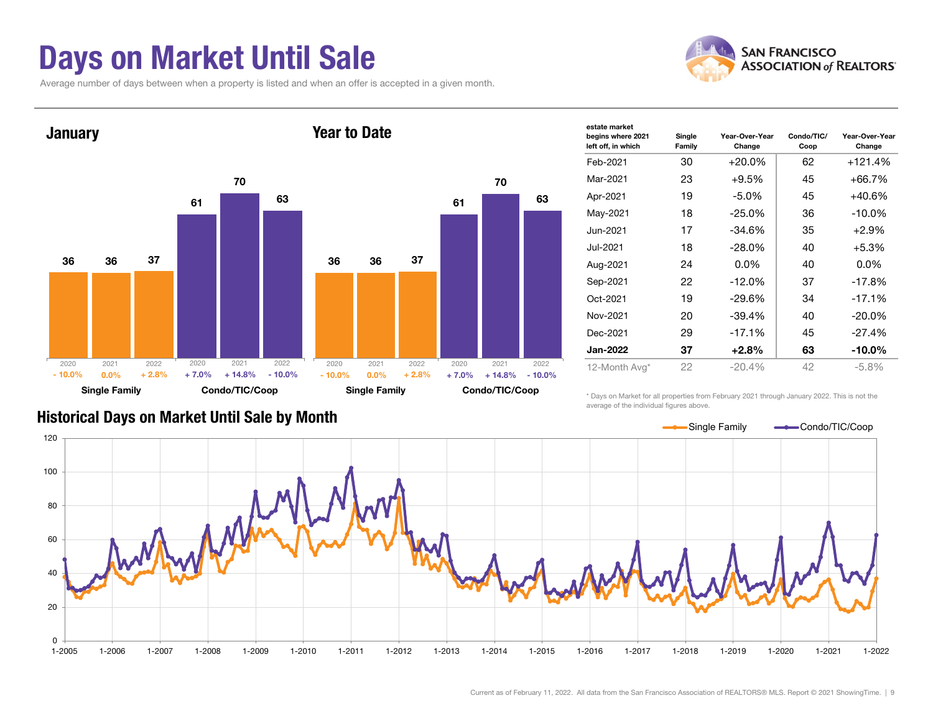#### Days on Market Until Sale

Average number of days between when a property is listed and when an offer is accepted in a given month.





| estate market                           |                  |                          |                    |                          |  |  |
|-----------------------------------------|------------------|--------------------------|--------------------|--------------------------|--|--|
| begins where 2021<br>left off, in which | Single<br>Family | Year-Over-Year<br>Change | Condo/TIC/<br>Coop | Year-Over-Year<br>Change |  |  |
| Feb-2021                                | 30               | $+20.0\%$                | 62                 | $+121.4%$                |  |  |
| Mar-2021                                | 23               | $+9.5%$                  | 45                 | $+66.7%$                 |  |  |
| Apr-2021                                | 19               | $-5.0\%$                 | 45                 | $+40.6%$                 |  |  |
| May-2021                                | 18               | $-25.0%$                 | 36                 | $-10.0\%$                |  |  |
| Jun-2021                                | 17               | $-34.6%$                 | 35                 | $+2.9%$                  |  |  |
| Jul-2021                                | 18               | $-28.0\%$                | 40                 | $+5.3%$                  |  |  |
| Aug-2021                                | 24               | $0.0\%$                  | 40                 | $0.0\%$                  |  |  |
| Sep-2021                                | 22               | $-12.0\%$                | 37                 | $-17.8%$                 |  |  |
| Oct-2021                                | 19               | $-29.6%$                 | 34                 | $-17.1%$                 |  |  |
| Nov-2021                                | 20               | $-39.4%$                 | 40                 | $-20.0\%$                |  |  |
| Dec-2021                                | 29               | $-17.1%$                 | 45                 | $-27.4%$                 |  |  |
| Jan-2022                                | 37               | $+2.8\%$                 | 63                 | $-10.0\%$                |  |  |
| 12-Month Avg*                           | 22               | $-20.4%$                 | 42                 | $-5.8%$                  |  |  |
|                                         |                  |                          |                    |                          |  |  |

\* Days on Market for all properties from February 2021 through January 2022. This is not the average of the individual figures above.

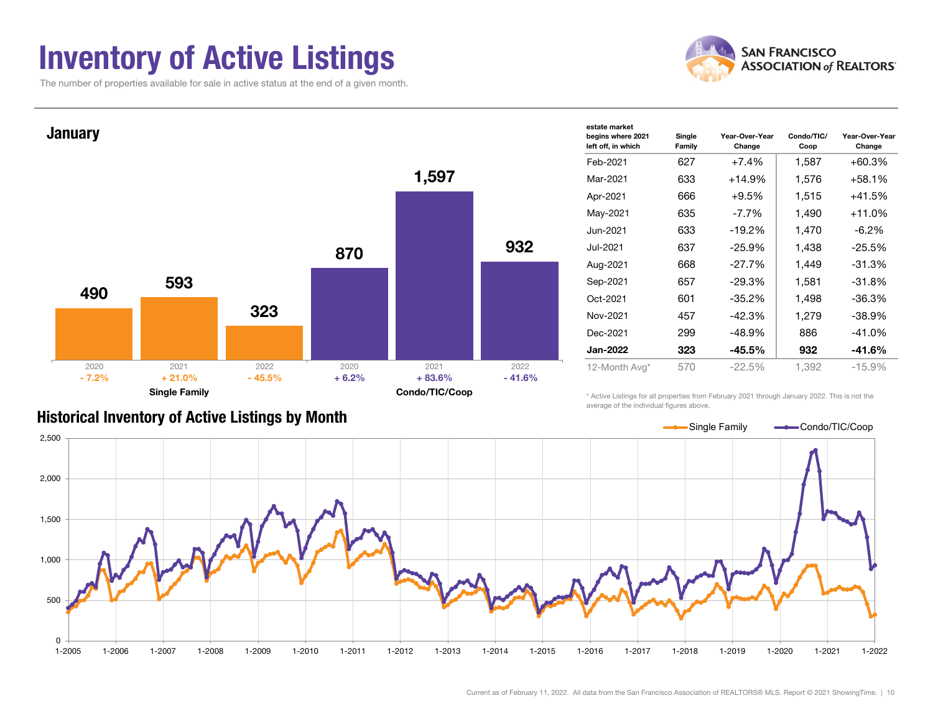#### Inventory of Active Listings

The number of properties available for sale in active status at the end of a given month.





#### Historical Inventory of Active Listings by Month

average of the individual figures above.

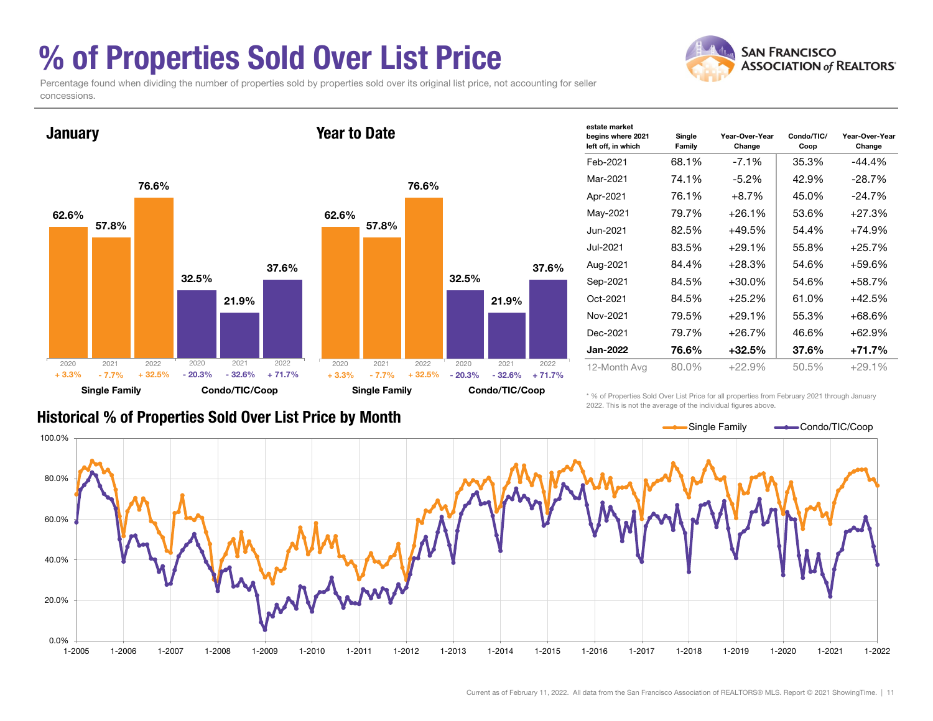### % of Properties Sold Over List Price

**SAN FRANCISCO ASSOCIATION of REALTORS'** 

Percentage found when dividing the number of properties sold by properties sold over its original list price, not accounting for seller concessions.



| сэмне шаглег<br>begins where 2021<br>left off, in which | Single<br>Family | Year-Over-Year<br>Change | Condo/TIC/<br>Coop | Year-Over-Year<br>Change |
|---------------------------------------------------------|------------------|--------------------------|--------------------|--------------------------|
| Feb-2021                                                | 68.1%            | $-7.1\%$                 | 35.3%              | -44.4%                   |
| Mar-2021                                                | 74.1%            | $-5.2\%$                 | 42.9%              | -28.7%                   |
| Apr-2021                                                | 76.1%            | $+8.7\%$                 | 45.0%              | $-24.7%$                 |
| May-2021                                                | 79.7%            | $+26.1%$                 | 53.6%              | $+27.3%$                 |
| Jun-2021                                                | 82.5%            | $+49.5%$                 | 54.4%              | $+74.9%$                 |
| Jul-2021                                                | 83.5%            | $+29.1%$                 | 55.8%              | $+25.7%$                 |
| Aug-2021                                                | 84.4%            | $+28.3%$                 | 54.6%              | +59.6%                   |
| Sep-2021                                                | 84.5%            | $+30.0\%$                | 54.6%              | +58.7%                   |
| Oct-2021                                                | 84.5%            | $+25.2%$                 | 61.0%              | +42.5%                   |
| Nov-2021                                                | 79.5%            | $+29.1%$                 | 55.3%              | $+68.6%$                 |
| Dec-2021                                                | 79.7%            | $+26.7%$                 | 46.6%              | +62.9%                   |
| Jan-2022                                                | 76.6%            | $+32.5\%$                | 37.6%              | +71.7%                   |
| 12-Month Avg                                            | 80.0%            | $+22.9%$                 | 50.5%              | $+29.1%$                 |

estate market

#### Historical % of Properties Sold Over List Price by Month

\* % of Properties Sold Over List Price for all properties from February 2021 through January 2022. This is not the average of the individual figures above.

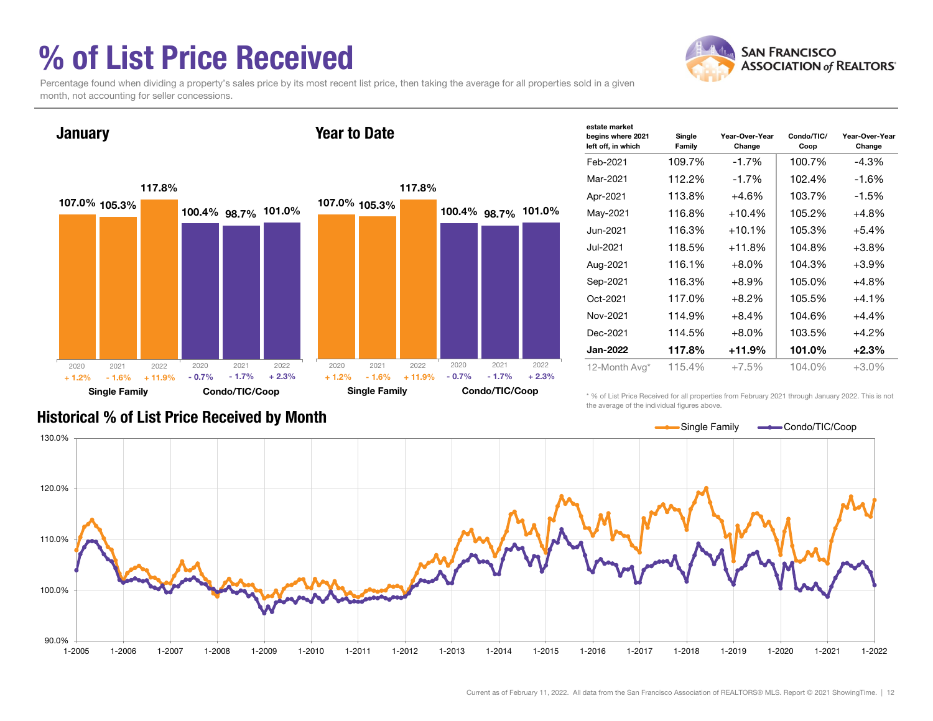### % of List Price Received



Percentage found when dividing a property's sales price by its most recent list price, then taking the average for all properties sold in a given month, not accounting for seller concessions.



| estate market<br>begins where 2021<br>left off, in which | Single<br>Family | Year-Over-Year<br>Change | Condo/TIC/<br>Coop | Year-Over-Year<br>Change |
|----------------------------------------------------------|------------------|--------------------------|--------------------|--------------------------|
| Feb-2021                                                 | 109.7%           | $-1.7%$                  | 100.7%             | $-4.3\%$                 |
| Mar-2021                                                 | 112.2%           | $-1.7%$                  | 102.4%             | $-1.6%$                  |
| Apr-2021                                                 | 113.8%           | $+4.6%$                  | 103.7%             | $-1.5\%$                 |
| May-2021                                                 | 116.8%           | $+10.4%$                 | 105.2%             | $+4.8%$                  |
| Jun-2021                                                 | 116.3%           | $+10.1%$                 | 105.3%             | $+5.4%$                  |
| Jul-2021                                                 | 118.5%           | +11.8%                   | 104.8%             | $+3.8%$                  |
| Aug-2021                                                 | 116.1%           | $+8.0\%$                 | 104.3%             | $+3.9%$                  |
| Sep-2021                                                 | 116.3%           | $+8.9%$                  | 105.0%             | +4.8%                    |
| Oct-2021                                                 | 117.0%           | $+8.2\%$                 | 105.5%             | $+4.1%$                  |
| Nov-2021                                                 | 114.9%           | $+8.4%$                  | 104.6%             | $+4.4%$                  |
| Dec-2021                                                 | 114.5%           | $+8.0\%$                 | 103.5%             | $+4.2%$                  |
| <b>Jan-2022</b>                                          | 117.8%           | +11.9%                   | 101.0%             | $+2.3%$                  |
| 12-Month Avg*                                            | 115.4%           | $+7.5%$                  | 104.0%             | $+3.0%$                  |

\* % of List Price Received for all properties from February 2021 through January 2022. This is not the average of the individual figures above.



#### Historical % of List Price Received by Month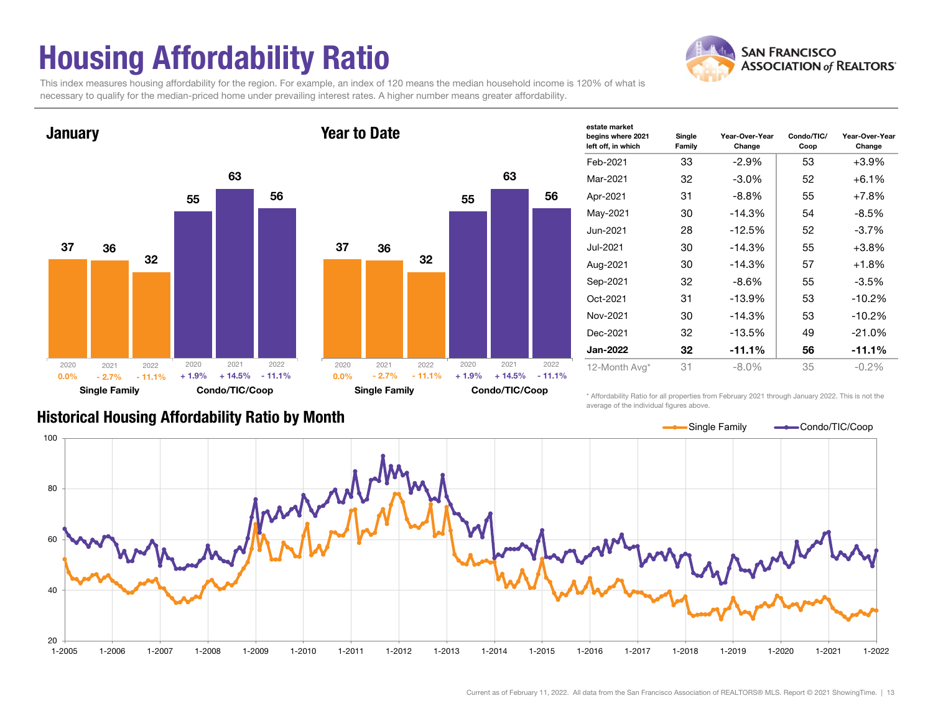## Housing Affordability Ratio

**SAN FRANCISCO ASSOCIATION of REALTORS'** 

This index measures housing affordability for the region. For example, an index of 120 means the median household income is 120% of what is necessary to qualify for the median-priced home under prevailing interest rates. A higher number means greater affordability.





| σοιαισ πιαι κοι<br>begins where 2021<br>left off, in which | Single<br>Family | Year-Over-Year<br>Change | Condo/TIC/<br>Coop | Year-Over-Year<br>Change |
|------------------------------------------------------------|------------------|--------------------------|--------------------|--------------------------|
| Feb-2021                                                   | 33               | $-2.9%$                  | 53                 | $+3.9%$                  |
| Mar-2021                                                   | 32               | $-3.0\%$                 | 52                 | $+6.1\%$                 |
| Apr-2021                                                   | 31               | $-8.8\%$                 | 55                 | $+7.8%$                  |
| May-2021                                                   | 30               | $-14.3%$                 | 54                 | $-8.5%$                  |
| Jun-2021                                                   | 28               | $-12.5%$                 | 52                 | $-3.7%$                  |
| Jul-2021                                                   | 30               | $-14.3%$                 | 55                 | $+3.8%$                  |
| Aug-2021                                                   | 30               | $-14.3%$                 | 57                 | $+1.8%$                  |
| Sep-2021                                                   | 32               | $-8.6\%$                 | 55                 | $-3.5%$                  |
| Oct-2021                                                   | 31               | $-13.9%$                 | 53                 | $-10.2%$                 |
| Nov-2021                                                   | 30               | $-14.3%$                 | 53                 | $-10.2%$                 |
| Dec-2021                                                   | 32               | $-13.5%$                 | 49                 | $-21.0%$                 |
| <b>Jan-2022</b>                                            | 32               | $-11.1%$                 | 56                 | $-11.1%$                 |
| 12-Month Avg*                                              | 31               | $-8.0\%$                 | 35                 | $-0.2\%$                 |

estate market

Historical Housing Affordability Ratio by Month

\* Affordability Ratio for all properties from February 2021 through January 2022. This is not the average of the individual figures above.

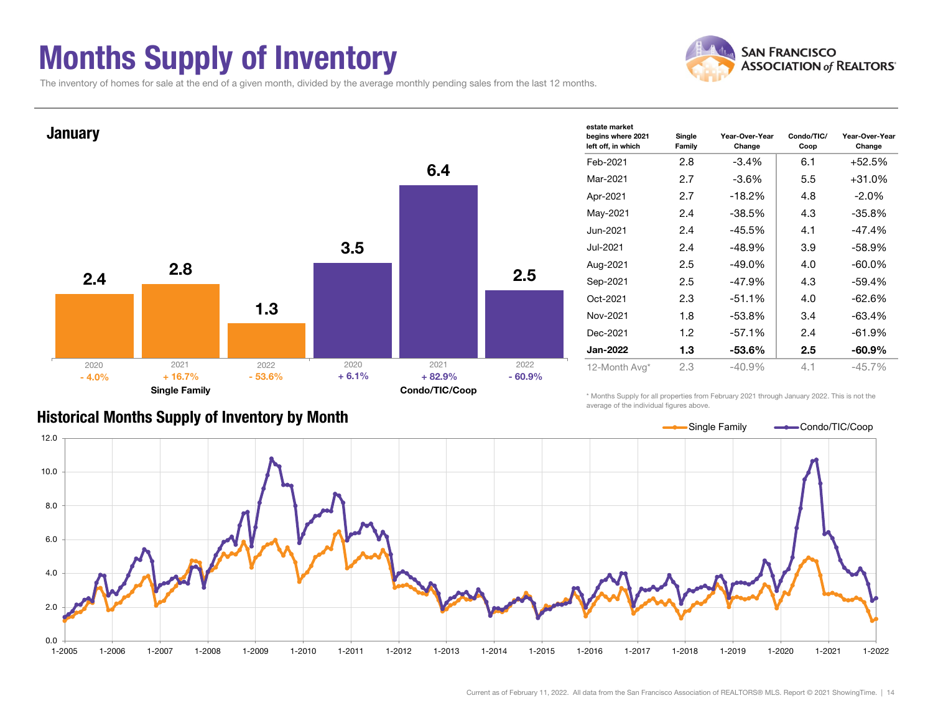### Months Supply of Inventory



Year-Over-Year Change

The inventory of homes for sale at the end of a given month, divided by the average monthly pending sales from the last 12 months.



#### Historical Months Supply of Inventory by Month

\* Months Supply for all properties from February 2021 through January 2022. This is not the average of the individual figures above.

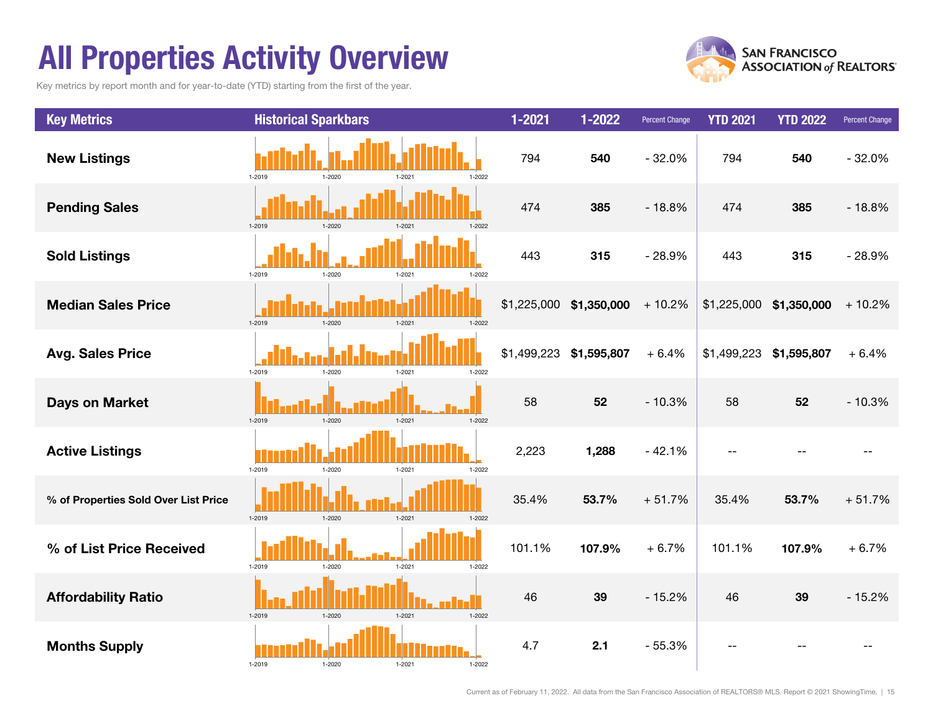### All Properties Activity Overview

Key metrics by report month and for year-to-date (YTD) starting from the first of the year.